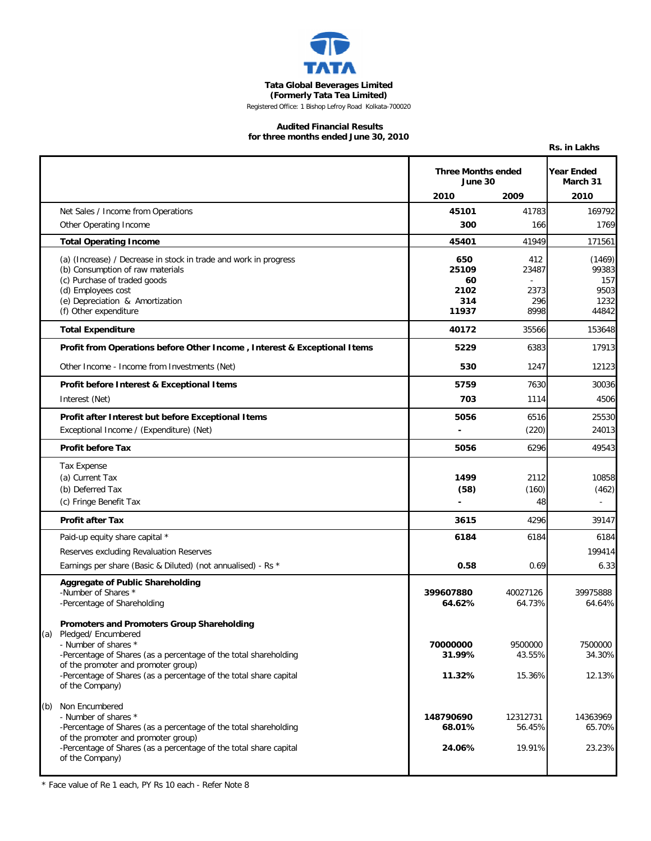

**Tata Global Beverages Limited**

**(Formerly Tata Tea Limited)** Registered Office: 1 Bishop Lefroy Road Kolkata-700020

#### **Audited Financial Results for three months ended June 30, 2010**

|                                                                                          |                                                      |                   | Rs. in Lakhs                          |
|------------------------------------------------------------------------------------------|------------------------------------------------------|-------------------|---------------------------------------|
|                                                                                          | <b>Three Months ended</b><br>June 30<br>2010<br>2009 |                   | <b>Year Ended</b><br>March 31<br>2010 |
| Net Sales / Income from Operations                                                       | 45101                                                | 41783             | 169792                                |
| Other Operating Income                                                                   | 300                                                  | 166               | 1769                                  |
|                                                                                          |                                                      |                   |                                       |
| <b>Total Operating Income</b>                                                            | 45401                                                | 41949             | 171561                                |
| (a) (Increase) / Decrease in stock in trade and work in progress                         | 650                                                  | 412               | (1469)                                |
| (b) Consumption of raw materials<br>(c) Purchase of traded goods                         | 25109<br>60                                          | 23487             | 99383<br>157                          |
| (d) Employees cost                                                                       | 2102                                                 | 2373              | 9503                                  |
| (e) Depreciation & Amortization                                                          | 314                                                  | 296               | 1232                                  |
| (f) Other expenditure                                                                    | 11937                                                | 8998              | 44842                                 |
| <b>Total Expenditure</b>                                                                 | 40172                                                | 35566             | 153648                                |
| Profit from Operations before Other Income, Interest & Exceptional Items                 | 5229                                                 | 6383              | 17913                                 |
| Other Income - Income from Investments (Net)                                             | 530                                                  | 1247              | 12123                                 |
| Profit before Interest & Exceptional Items                                               | 5759                                                 | 7630              | 30036                                 |
| Interest (Net)                                                                           | 703                                                  | 1114              | 4506                                  |
| Profit after Interest but before Exceptional Items                                       | 5056                                                 | 6516              | 25530                                 |
| Exceptional Income / (Expenditure) (Net)                                                 | $\overline{\phantom{a}}$                             | (220)             | 24013                                 |
| <b>Profit before Tax</b>                                                                 | 5056                                                 | 6296              | 49543                                 |
| Tax Expense                                                                              |                                                      |                   |                                       |
| (a) Current Tax                                                                          | 1499                                                 | 2112              | 10858                                 |
| (b) Deferred Tax                                                                         | (58)                                                 | (160)             | (462)                                 |
| (c) Fringe Benefit Tax                                                                   |                                                      | 48                |                                       |
| <b>Profit after Tax</b>                                                                  | 3615                                                 | 4296              | 39147                                 |
| Paid-up equity share capital *                                                           | 6184                                                 | 6184              | 6184                                  |
| Reserves excluding Revaluation Reserves                                                  |                                                      |                   | 199414                                |
| Earnings per share (Basic & Diluted) (not annualised) - Rs *                             | 0.58                                                 | 0.69              | 6.33                                  |
| <b>Aggregate of Public Shareholding</b>                                                  |                                                      |                   |                                       |
| -Number of Shares *                                                                      | 399607880                                            | 40027126          | 39975888                              |
| -Percentage of Shareholding                                                              | 64.62%                                               | 64.73%            | 64.64%                                |
| Promoters and Promoters Group Shareholding                                               |                                                      |                   |                                       |
| (a) Pledged/ Encumbered                                                                  |                                                      |                   |                                       |
| - Number of shares *<br>-Percentage of Shares (as a percentage of the total shareholding | 70000000<br>31.99%                                   | 9500000<br>43.55% | 7500000<br>34.30%                     |
| of the promoter and promoter group)                                                      |                                                      |                   |                                       |
| -Percentage of Shares (as a percentage of the total share capital<br>of the Company)     | 11.32%                                               | 15.36%            | 12.13%                                |
|                                                                                          |                                                      |                   |                                       |
| (b) Non Encumbered<br>- Number of shares *                                               | 148790690                                            | 12312731          | 14363969                              |
| -Percentage of Shares (as a percentage of the total shareholding                         | 68.01%                                               | 56.45%            | 65.70%                                |
| of the promoter and promoter group)                                                      |                                                      |                   |                                       |
| -Percentage of Shares (as a percentage of the total share capital                        | 24.06%                                               | 19.91%            | 23.23%                                |
| of the Company)                                                                          |                                                      |                   |                                       |

\* Face value of Re 1 each, PY Rs 10 each - Refer Note 8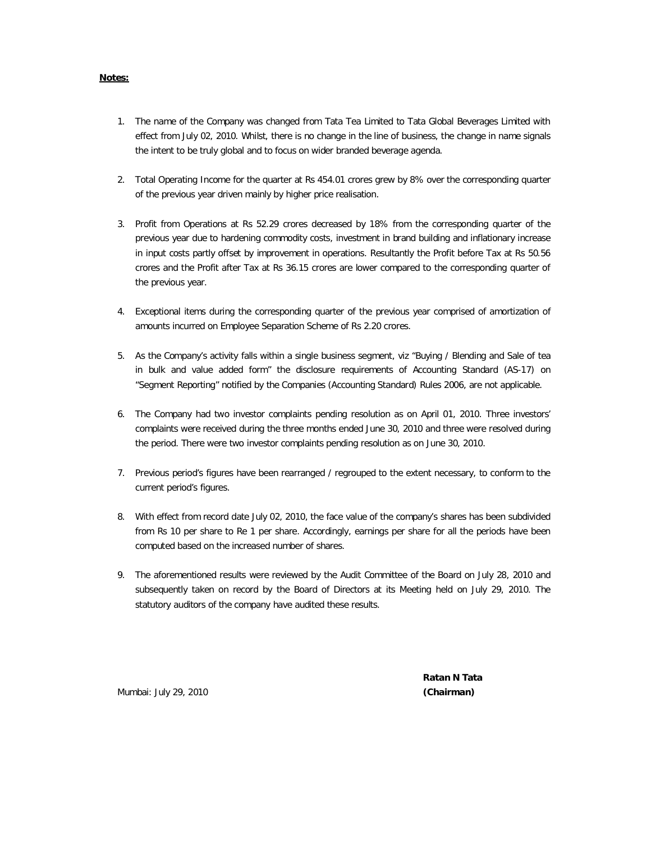#### **Notes:**

- 1. The name of the Company was changed from Tata Tea Limited to Tata Global Beverages Limited with effect from July 02, 2010. Whilst, there is no change in the line of business, the change in name signals the intent to be truly global and to focus on wider branded beverage agenda.
- 2. Total Operating Income for the quarter at Rs 454.01 crores grew by 8% over the corresponding quarter of the previous year driven mainly by higher price realisation.
- 3. Profit from Operations at Rs 52.29 crores decreased by 18% from the corresponding quarter of the previous year due to hardening commodity costs, investment in brand building and inflationary increase in input costs partly offset by improvement in operations. Resultantly the Profit before Tax at Rs 50.56 crores and the Profit after Tax at Rs 36.15 crores are lower compared to the corresponding quarter of the previous year.
- 4. Exceptional items during the corresponding quarter of the previous year comprised of amortization of amounts incurred on Employee Separation Scheme of Rs 2.20 crores.
- 5. As the Company's activity falls within a single business segment, viz "Buying / Blending and Sale of tea in bulk and value added form" the disclosure requirements of Accounting Standard (AS-17) on "Segment Reporting" notified by the Companies (Accounting Standard) Rules 2006, are not applicable.
- 6. The Company had two investor complaints pending resolution as on April 01, 2010. Three investors' complaints were received during the three months ended June 30, 2010 and three were resolved during the period. There were two investor complaints pending resolution as on June 30, 2010.
- 7. Previous period's figures have been rearranged / regrouped to the extent necessary, to conform to the current period's figures.
- 8. With effect from record date July 02, 2010, the face value of the company's shares has been subdivided from Rs 10 per share to Re 1 per share. Accordingly, earnings per share for all the periods have been computed based on the increased number of shares.
- 9. The aforementioned results were reviewed by the Audit Committee of the Board on July 28, 2010 and subsequently taken on record by the Board of Directors at its Meeting held on July 29, 2010. The statutory auditors of the company have audited these results.

Mumbai: July 29, 2010 **(Chairman)**

 **Ratan N Tata**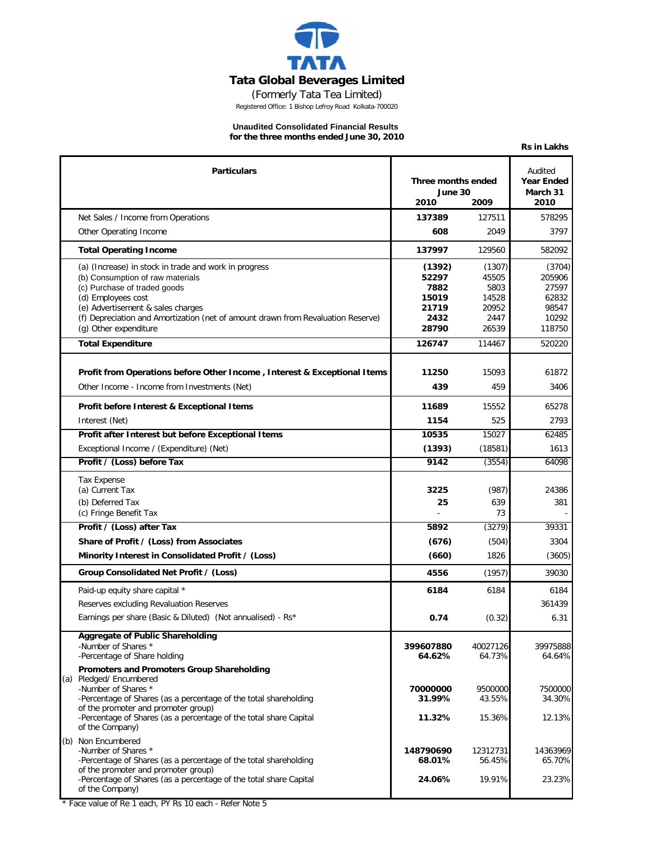

(Formerly Tata Tea Limited)

Registered Office: 1 Bishop Lefroy Road Kolkata-700020

## **Unaudited Consolidated Financial Results**

**for the three months ended June 30, 2010**

**Rs in Lakhs**

|     | <b>Particulars</b>                                                                                        | Three months ended  |                    | Audited<br><b>Year Ended</b> |
|-----|-----------------------------------------------------------------------------------------------------------|---------------------|--------------------|------------------------------|
|     |                                                                                                           | June 30             |                    | March 31                     |
|     |                                                                                                           | 2010                | 2009               | 2010                         |
|     | Net Sales / Income from Operations                                                                        | 137389              | 127511             | 578295                       |
|     | Other Operating Income                                                                                    | 608                 | 2049               | 3797                         |
|     | <b>Total Operating Income</b>                                                                             | 137997              | 129560             | 582092                       |
|     | (a) (Increase) in stock in trade and work in progress                                                     | (1392)              | (1307)             | (3704)                       |
|     | (b) Consumption of raw materials<br>(c) Purchase of traded goods                                          | 52297<br>7882       | 45505<br>5803      | 205906<br>27597              |
|     | (d) Employees cost                                                                                        | 15019               | 14528              | 62832                        |
|     | (e) Advertisement & sales charges                                                                         | 21719               | 20952              | 98547                        |
|     | (f) Depreciation and Amortization (net of amount drawn from Revaluation Reserve)<br>(g) Other expenditure | 2432<br>28790       | 2447<br>26539      | 10292<br>118750              |
|     |                                                                                                           |                     |                    |                              |
|     | <b>Total Expenditure</b>                                                                                  | 126747              | 114467             | 520220                       |
|     | Profit from Operations before Other Income, Interest & Exceptional Items                                  | 11250               | 15093              | 61872                        |
|     | Other Income - Income from Investments (Net)                                                              | 439                 | 459                | 3406                         |
|     | Profit before Interest & Exceptional Items                                                                | 11689               | 15552              | 65278                        |
|     | Interest (Net)                                                                                            | 1154                | 525                | 2793                         |
|     | Profit after Interest but before Exceptional Items                                                        | 10535               | 15027              | 62485                        |
|     | Exceptional Income / (Expenditure) (Net)                                                                  | (1393)              | (18581)            | 1613                         |
|     | Profit / (Loss) before Tax                                                                                | 9142                | (3554)             | 64098                        |
|     | <b>Tax Expense</b>                                                                                        |                     |                    |                              |
|     | (a) Current Tax                                                                                           | 3225                | (987)              | 24386                        |
|     | (b) Deferred Tax                                                                                          | 25                  | 639                | 381                          |
|     | (c) Fringe Benefit Tax                                                                                    |                     | 73                 |                              |
|     | Profit / (Loss) after Tax                                                                                 | 5892                | (3279)             | 39331                        |
|     | Share of Profit / (Loss) from Associates                                                                  | (676)               | (504)              | 3304                         |
|     | Minority Interest in Consolidated Profit / (Loss)                                                         | (660)               | 1826               | (3605)                       |
|     | Group Consolidated Net Profit / (Loss)                                                                    | 4556                | (1957)             | 39030                        |
|     | Paid-up equity share capital *                                                                            | 6184                | 6184               | 6184                         |
|     | Reserves excluding Revaluation Reserves                                                                   |                     |                    | 361439                       |
|     | Earnings per share (Basic & Diluted) (Not annualised) - Rs*                                               | 0.74                | (0.32)             | 6.31                         |
|     | Aggregate of Public Shareholding                                                                          |                     |                    |                              |
|     | -Number of Shares *<br>-Percentage of Share holding                                                       | 399607880<br>64.62% | 40027126<br>64.73% | 39975888<br>64.64%           |
|     | Promoters and Promoters Group Shareholding                                                                |                     |                    |                              |
| (a) | Pledged/ Encumbered                                                                                       |                     |                    |                              |
|     | -Number of Shares *<br>-Percentage of Shares (as a percentage of the total shareholding                   | 70000000<br>31.99%  | 9500000<br>43.55%  | 7500000<br>34.30%            |
|     | of the promoter and promoter group)                                                                       |                     |                    |                              |
|     | -Percentage of Shares (as a percentage of the total share Capital<br>of the Company)                      | 11.32%              | 15.36%             | 12.13%                       |
| (b) | Non Encumbered                                                                                            |                     |                    |                              |
|     | -Number of Shares *                                                                                       | 148790690           | 12312731           | 14363969                     |
|     | -Percentage of Shares (as a percentage of the total shareholding<br>of the promoter and promoter group)   | 68.01%              | 56.45%             | 65.70%                       |
|     | -Percentage of Shares (as a percentage of the total share Capital                                         | 24.06%              | 19.91%             | 23.23%                       |
|     | of the Company)                                                                                           |                     |                    |                              |

\* Face value of Re 1 each, PY Rs 10 each - Refer Note 5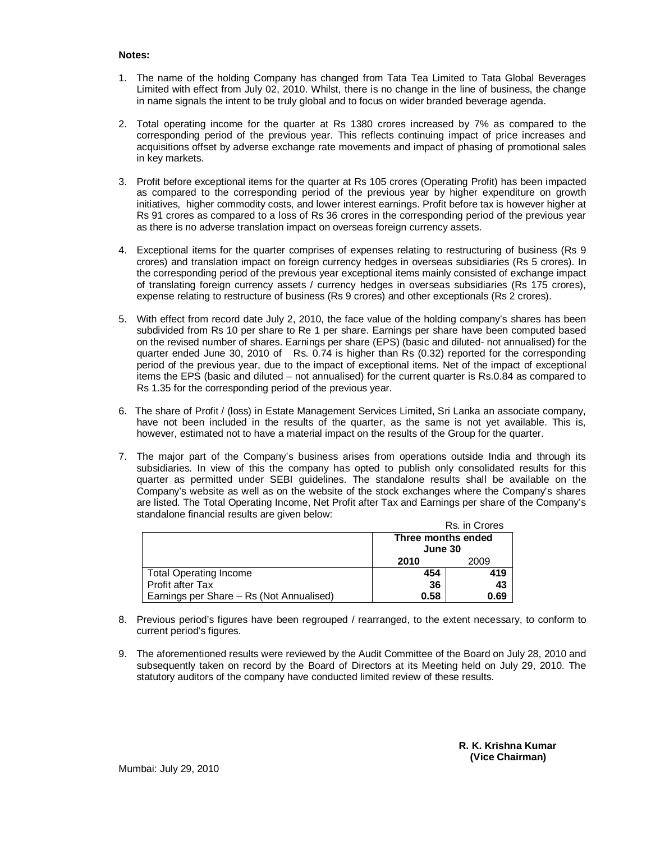### **Notes:**

- 1. The name of the holding Company has changed from Tata Tea Limited to Tata Global Beverages Limited with effect from July 02, 2010. Whilst, there is no change in the line of business, the change in name signals the intent to be truly global and to focus on wider branded beverage agenda.
- 2. Total operating income for the quarter at Rs 1380 crores increased by 7% as compared to the corresponding period of the previous year. This reflects continuing impact of price increases and acquisitions offset by adverse exchange rate movements and impact of phasing of promotional sales in key markets.
- 3. Profit before exceptional items for the quarter at Rs 105 crores (Operating Profit) has been impacted as compared to the corresponding period of the previous year by higher expenditure on growth initiatives, higher commodity costs, and lower interest earnings. Profit before tax is however higher at Rs 91 crores as compared to a loss of Rs 36 crores in the corresponding period of the previous year as there is no adverse translation impact on overseas foreign currency assets.
- 4. Exceptional items for the quarter comprises of expenses relating to restructuring of business (Rs 9 crores) and translation impact on foreign currency hedges in overseas subsidiaries (Rs 5 crores). In the corresponding period of the previous year exceptional items mainly consisted of exchange impact of translating foreign currency assets / currency hedges in overseas subsidiaries (Rs 175 crores), expense relating to restructure of business (Rs 9 crores) and other exceptionals (Rs 2 crores).
- 5. With effect from record date July 2, 2010, the face value of the holding company's shares has been subdivided from Rs 10 per share to Re 1 per share. Earnings per share have been computed based on the revised number of shares. Earnings per share (EPS) (basic and diluted- not annualised) for the quarter ended June 30, 2010 of Rs. 0.74 is higher than Rs (0.32) reported for the corresponding period of the previous year, due to the impact of exceptional items. Net of the impact of exceptional items the EPS (basic and diluted – not annualised) for the current quarter is Rs.0.84 as compared to Rs 1.35 for the corresponding period of the previous year.
- 6. The share of Profit / (loss) in Estate Management Services Limited, Sri Lanka an associate company, have not been included in the results of the quarter, as the same is not yet available. This is, however, estimated not to have a material impact on the results of the Group for the quarter.
- 7. The major part of the Company's business arises from operations outside India and through its subsidiaries. In view of this the company has opted to publish only consolidated results for this quarter as permitted under SEBI guidelines. The standalone results shall be available on the Company's website as well as on the website of the stock exchanges where the Company's shares are listed. The Total Operating Income, Net Profit after Tax and Earnings per share of the Company's standalone financial results are given below:

|                                          |                               | Rs. in Crores |
|------------------------------------------|-------------------------------|---------------|
|                                          | Three months ended<br>June 30 |               |
|                                          | 2010                          | 2009          |
| <b>Total Operating Income</b>            | 454                           | 419           |
| <b>Profit after Tax</b>                  | 36                            | 43            |
| Earnings per Share - Rs (Not Annualised) | 0.58                          | 0.69          |

- 8. Previous period's figures have been regrouped / rearranged, to the extent necessary, to conform to current period's figures.
- 9. The aforementioned results were reviewed by the Audit Committee of the Board on July 28, 2010 and subsequently taken on record by the Board of Directors at its Meeting held on July 29, 2010. The statutory auditors of the company have conducted limited review of these results.